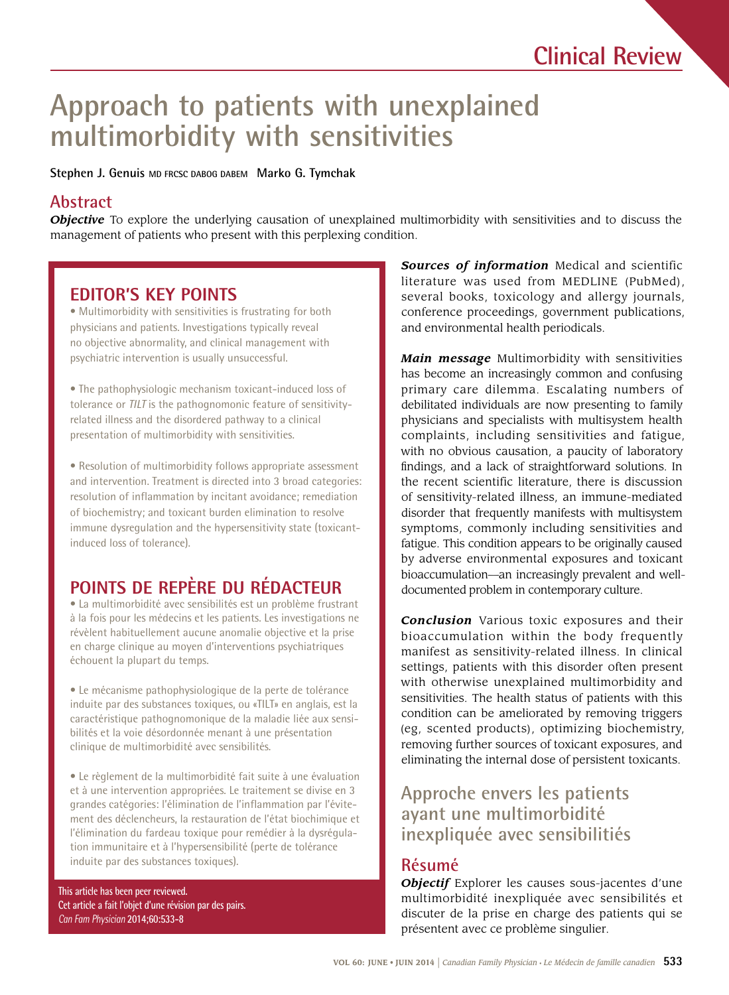# **Approach to patients with unexplained multimorbidity with sensitivities**

**Stephen J. Genuis MD FRCSC DABOG DABEM Marko G. Tymchak** 

## **Abstract**

*Objective* To explore the underlying causation of unexplained multimorbidity with sensitivities and to discuss the management of patients who present with this perplexing condition.

# **EDITOR'S KEY POINTS**

 Multimorbidity with sensitivities is frustrating for both physicians and patients. Investigations typically reveal no objective abnormality, and clinical management with psychiatric intervention is usually unsuccessful.

 The pathophysiologic mechanism toxicant-induced loss of tolerance or *TILT* is the pathognomonic feature of sensitivityrelated illness and the disordered pathway to a clinical presentation of multimorbidity with sensitivities.

 Resolution of multimorbidity follows appropriate assessment and intervention. Treatment is directed into 3 broad categories: resolution of inflammation by incitant avoidance; remediation of biochemistry; and toxicant burden elimination to resolve immune dysregulation and the hypersensitivity state (toxicantinduced loss of tolerance).

# **POINTS DE REPÈRE DU RÉDACTEUR**

 La multimorbidité avec sensibilités est un problème frustrant à la fois pour les médecins et les patients. Les investigations ne révèlent habituellement aucune anomalie objective et la prise en charge clinique au moyen d'interventions psychiatriques échouent la plupart du temps.

 Le mécanisme pathophysiologique de la perte de tolérance induite par des substances toxiques, ou «TILT» en anglais, est la caractéristique pathognomonique de la maladie liée aux sensibilités et la voie désordonnée menant à une présentation clinique de multimorbidité avec sensibilités.

 Le règlement de la multimorbidité fait suite à une évaluation et à une intervention appropriées. Le traitement se divise en 3 grandes catégories: l'élimination de l'inflammation par l'évitement des déclencheurs, la restauration de l'état biochimique et l'élimination du fardeau toxique pour remédier à la dysrégulation immunitaire et à l'hypersensibilité (perte de tolérance induite par des substances toxiques).

**This article has been peer reviewed. Cet article a fait l'objet d'une révision par des pairs.**  *Can Fam Physician* **2014;60:533-8** 

 *Sources of information* Medical and scientific literature was used from MEDLINE (PubMed), several books, toxicology and allergy journals, conference proceedings, government publications, and environmental health periodicals.

 debilitated individuals are now presenting to family *Main message* Multimorbidity with sensitivities has become an increasingly common and confusing primary care dilemma. Escalating numbers of physicians and specialists with multisystem health complaints, including sensitivities and fatigue, with no obvious causation, a paucity of laboratory fndings, and a lack of straightforward solutions. In the recent scientific literature, there is discussion of sensitivity-related illness, an immune-mediated disorder that frequently manifests with multisystem symptoms, commonly including sensitivities and fatigue. This condition appears to be originally caused by adverse environmental exposures and toxicant bioaccumulation—an increasingly prevalent and welldocumented problem in contemporary culture.

*Conclusion* Various toxic exposures and their bioaccumulation within the body frequently manifest as sensitivity-related illness. In clinical settings, patients with this disorder often present with otherwise unexplained multimorbidity and sensitivities. The health status of patients with this condition can be ameliorated by removing triggers (eg, scented products), optimizing biochemistry, removing further sources of toxicant exposures, and eliminating the internal dose of persistent toxicants.

# **Approche envers les patients ayant une multimorbidité inexpliquée avec sensibilitiés**

## **Résumé**

*Objectif* Explorer les causes sous-jacentes d'une multimorbidité inexpliquée avec sensibilités et discuter de la prise en charge des patients qui se présentent avec ce problème singulier.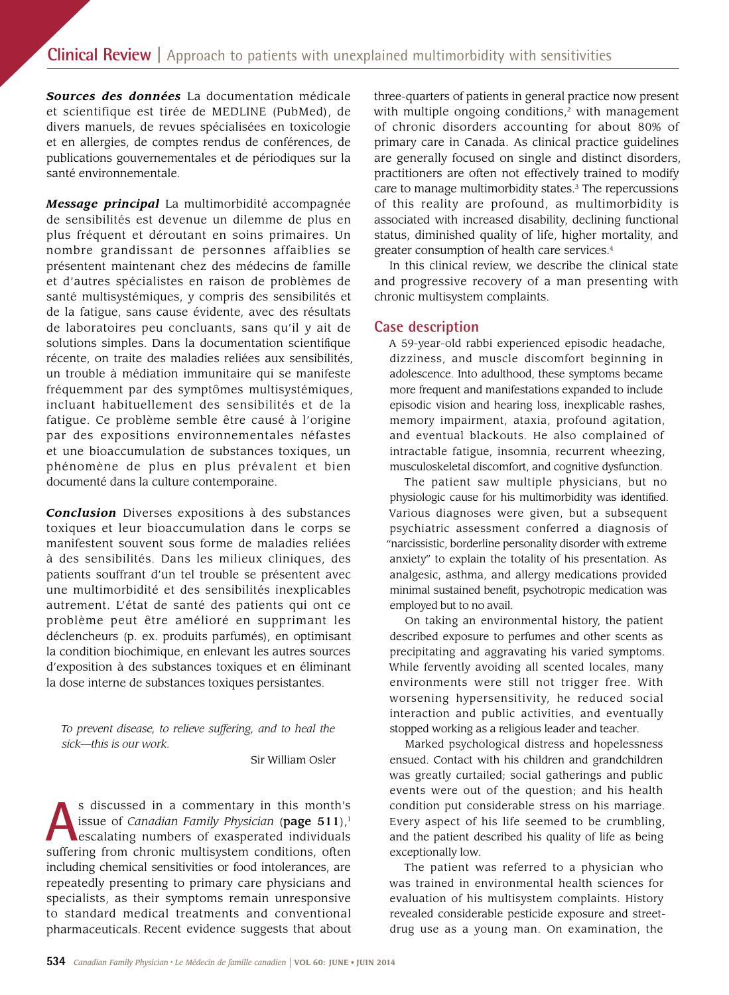*Sources des données* La documentation médicale et scientifique est tirée de MEDLINE (PubMed), de divers manuels, de revues spécialisées en toxicologie et en allergies, de comptes rendus de conférences, de publications gouvernementales et de périodiques sur la santé environnementale.

*Message principal* La multimorbidité accompagnée de sensibilités est devenue un dilemme de plus en plus fréquent et déroutant en soins primaires. Un nombre grandissant de personnes affaiblies se présentent maintenant chez des médecins de famille et d'autres spécialistes en raison de problèmes de santé multisystémiques, y compris des sensibilités et de la fatigue, sans cause évidente, avec des résultats de laboratoires peu concluants, sans qu'il y ait de solutions simples. Dans la documentation scientifque récente, on traite des maladies reliées aux sensibilités, un trouble à médiation immunitaire qui se manifeste fréquemment par des symptômes multisystémiques, incluant habituellement des sensibilités et de la fatigue. Ce problème semble être causé à l'origine par des expositions environnementales néfastes et une bioaccumulation de substances toxiques, un phénomène de plus en plus prévalent et bien documenté dans la culture contemporaine.

*Conclusion* Diverses expositions à des substances toxiques et leur bioaccumulation dans le corps se manifestent souvent sous forme de maladies reliées à des sensibilités. Dans les milieux cliniques, des patients souffrant d'un tel trouble se présentent avec une multimorbidité et des sensibilités inexplicables autrement. L'état de santé des patients qui ont ce problème peut être amélioré en supprimant les déclencheurs (p. ex. produits parfumés), en optimisant la condition biochimique, en enlevant les autres sources d'exposition à des substances toxiques et en éliminant la dose interne de substances toxiques persistantes.

*To prevent disease, to relieve suffering, and to heal the sick—this is our work.* 

Sir William Osler

**A**s discussed in a commentary in this month's issue of *Canadian Family Physician* (page 511),<sup>1</sup> escalating numbers of exasperated individuals suffering from chronic multisystem conditions, often including chemical sensitivities or food intolerances, are repeatedly presenting to primary care physicians and specialists, as their symptoms remain unresponsive to standard medical treatments and conventional pharmaceuticals. Recent evidence suggests that about three-quarters of patients in general practice now present with multiple ongoing conditions, $2$  with management of chronic disorders accounting for about 80% of primary care in Canada. As clinical practice guidelines are generally focused on single and distinct disorders, practitioners are often not effectively trained to modify care to manage multimorbidity states.<sup>3</sup> The repercussions of this reality are profound, as multimorbidity is associated with increased disability, declining functional status, diminished quality of life, higher mortality, and greater consumption of health care services.<sup>4</sup>

In this clinical review, we describe the clinical state and progressive recovery of a man presenting with chronic multisystem complaints.

#### **Case description**

A 59-year-old rabbi experienced episodic headache, dizziness, and muscle discomfort beginning in adolescence. Into adulthood, these symptoms became more frequent and manifestations expanded to include episodic vision and hearing loss, inexplicable rashes, memory impairment, ataxia, profound agitation, and eventual blackouts. He also complained of intractable fatigue, insomnia, recurrent wheezing, musculoskeletal discomfort, and cognitive dysfunction.

The patient saw multiple physicians, but no physiologic cause for his multimorbidity was identifed. Various diagnoses were given, but a subsequent psychiatric assessment conferred a diagnosis of "narcissistic, borderline personality disorder with extreme anxiety" to explain the totality of his presentation. As analgesic, asthma, and allergy medications provided minimal sustained beneft, psychotropic medication was employed but to no avail.

On taking an environmental history, the patient described exposure to perfumes and other scents as precipitating and aggravating his varied symptoms. While fervently avoiding all scented locales, many environments were still not trigger free. With worsening hypersensitivity, he reduced social interaction and public activities, and eventually stopped working as a religious leader and teacher.

Marked psychological distress and hopelessness ensued. Contact with his children and grandchildren was greatly curtailed; social gatherings and public events were out of the question; and his health condition put considerable stress on his marriage. Every aspect of his life seemed to be crumbling, and the patient described his quality of life as being exceptionally low.

The patient was referred to a physician who was trained in environmental health sciences for evaluation of his multisystem complaints. History revealed considerable pesticide exposure and streetdrug use as a young man. On examination, the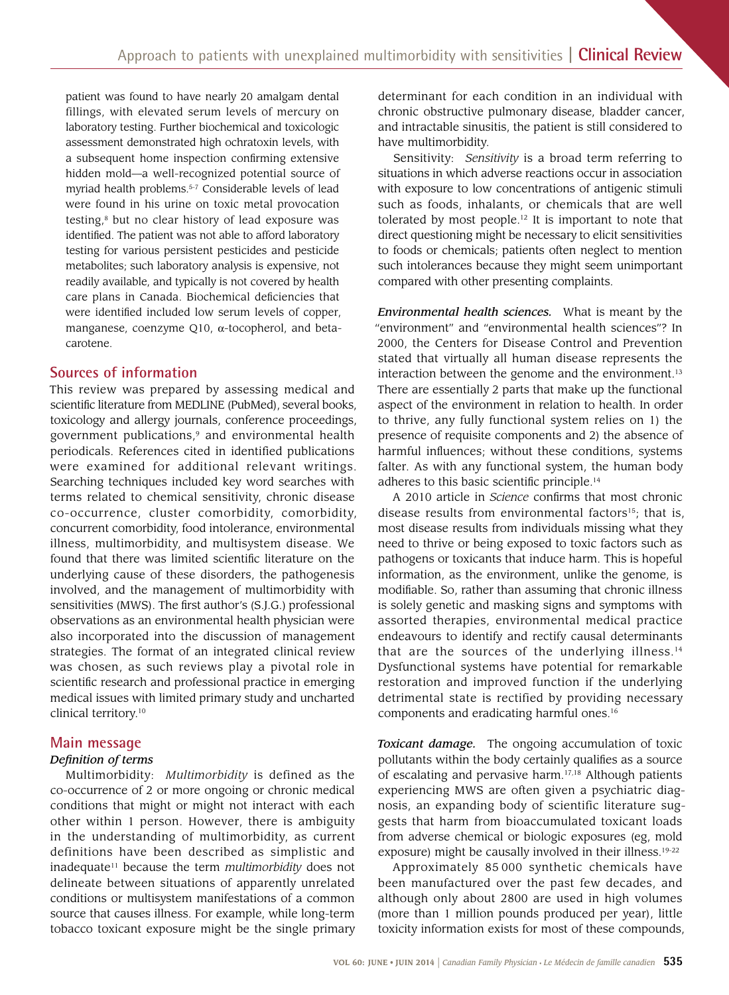patient was found to have nearly 20 amalgam dental fillings, with elevated serum levels of mercury on laboratory testing. Further biochemical and toxicologic assessment demonstrated high ochratoxin levels, with a subsequent home inspection confrming extensive hidden mold—a well-recognized potential source of myriad health problems.<sup>5-7</sup> Considerable levels of lead were found in his urine on toxic metal provocation testing, $8$  but no clear history of lead exposure was identifed. The patient was not able to afford laboratory testing for various persistent pesticides and pesticide metabolites; such laboratory analysis is expensive, not readily available, and typically is not covered by health care plans in Canada. Biochemical defciencies that were identifed included low serum levels of copper, manganese, coenzyme Q10, α-tocopherol, and betacarotene.

## **Sources of information**

 also incorporated into the discussion of management This review was prepared by assessing medical and scientifc literature from MEDLINE (PubMed), several books, toxicology and allergy journals, conference proceedings, government publications,<sup>9</sup> and environmental health periodicals. References cited in identified publications were examined for additional relevant writings. Searching techniques included key word searches with terms related to chemical sensitivity, chronic disease co-occurrence, cluster comorbidity, comorbidity, concurrent comorbidity, food intolerance, environmental illness, multimorbidity, and multisystem disease. We found that there was limited scientifc literature on the underlying cause of these disorders, the pathogenesis involved, and the management of multimorbidity with sensitivities (MWS). The frst author's (S.J.G.) professional observations as an environmental health physician were strategies. The format of an integrated clinical review was chosen, as such reviews play a pivotal role in scientifc research and professional practice in emerging medical issues with limited primary study and uncharted clinical [territory.10](https://territory.10)

## **Main message**

#### *Defnition of terms*

Multimorbidity: *Multimorbidity* is defined as the co-occurrence of 2 or more ongoing or chronic medical conditions that might or might not interact with each other within 1 person. However, there is ambiguity in the understanding of multimorbidity, as current definitions have been described as simplistic and inadequate11 because the term *multimorbidity* does not delineate between situations of apparently unrelated conditions or multisystem manifestations of a common source that causes illness. For example, while long-term tobacco toxicant exposure might be the single primary

determinant for each condition in an individual with chronic obstructive pulmonary disease, bladder cancer, and intractable sinusitis, the patient is still considered to have multimorbidity.

Sensitivity: *Sensitivity* is a broad term referring to situations in which adverse reactions occur in association with exposure to low concentrations of antigenic stimuli such as foods, inhalants, or chemicals that are well tolerated by most [people.12](https://people.12) It is important to note that direct questioning might be necessary to elicit sensitivities to foods or chemicals; patients often neglect to mention such intolerances because they might seem unimportant compared with other presenting complaints.

*Environmental health sciences.* What is meant by the "environment" and "environmental health sciences"? In 2000, the Centers for Disease Control and Prevention stated that virtually all human disease represents the interaction between the genome and the environment.<sup>13</sup> There are essentially 2 parts that make up the functional aspect of the environment in relation to health. In order to thrive, any fully functional system relies on 1) the presence of requisite components and 2) the absence of harmful infuences; without these conditions, systems falter. As with any functional system, the human body adheres to this basic scientifc [principle.14](https://principle.14)

A 2010 article in *Science* confrms that most chronic disease results from environmental factors<sup>15</sup>; that is, most disease results from individuals missing what they need to thrive or being exposed to toxic factors such as pathogens or toxicants that induce harm. This is hopeful information, as the environment, unlike the genome, is modifable. So, rather than assuming that chronic illness is solely genetic and masking signs and symptoms with assorted therapies, environmental medical practice endeavours to identify and rectify causal determinants that are the sources of the underlying illness. $14$ Dysfunctional systems have potential for remarkable restoration and improved function if the underlying detrimental state is rectified by providing necessary components and eradicating harmful ones.16

*Toxicant damage.* The ongoing accumulation of toxic pollutants within the body certainly qualifes as a source of escalating and pervasive harm.17,18 Although patients experiencing MWS are often given a psychiatric diagnosis, an expanding body of scientific literature suggests that harm from bioaccumulated toxicant loads from adverse chemical or biologic exposures (eg, mold exposure) might be causally involved in their illness.<sup>19-22</sup>

Approximately 85 000 synthetic chemicals have been manufactured over the past few decades, and although only about 2800 are used in high volumes (more than 1 million pounds produced per year), little toxicity information exists for most of these compounds,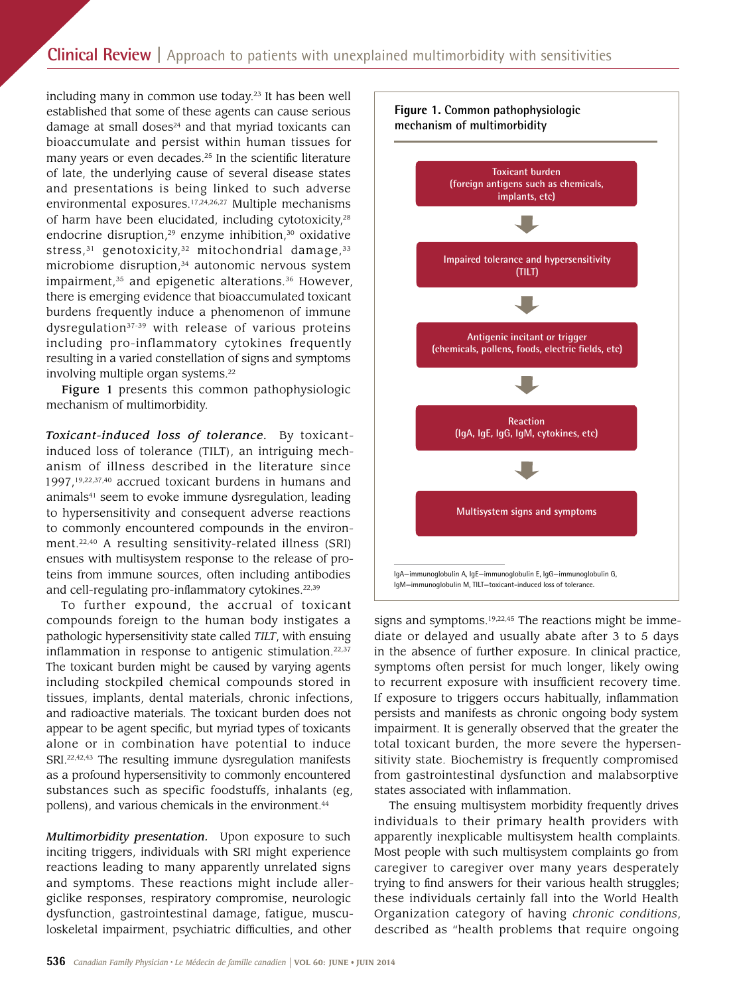# **Clinical Review |** Approach to patients with unexplained multimorbidity with sensitivities

including many in common use today.<sup>23</sup> It has been well established that some of these agents can cause serious damage at small doses $24$  and that myriad toxicants can bioaccumulate and persist within human tissues for many years or even decades.<sup>25</sup> In the scientific literature of late, the underlying cause of several disease states and presentations is being linked to such adverse environmental exposures.17,24,26,27 Multiple mechanisms of harm have been elucidated, including cytotoxicity,<sup>28</sup> endocrine disruption, $29$  enzyme inhibition, $30$  oxidative stress, $31$  genotoxicity, $32$  mitochondrial damage, $33$ microbiome disruption,<sup>34</sup> autonomic nervous system impairment, $35$  and epigenetic alterations. $36$  However, there is emerging evidence that bioaccumulated toxicant burdens frequently induce a phenomenon of immune dysregulation $37-39$  with release of various proteins including pro-inflammatory cytokines frequently resulting in a varied constellation of signs and symptoms involving multiple organ systems.<sup>22</sup>

Figure 1 presents this common pathophysiologic mechanism of multimorbidity.

*Toxicant-induced loss of tolerance.* By toxicantinduced loss of tolerance (TILT), an intriguing mechanism of illness described in the literature since 1997,19,22,37,40 accrued toxicant burdens in humans and animals<sup>41</sup> seem to evoke immune dysregulation, leading to hypersensitivity and consequent adverse reactions to commonly encountered compounds in the environment.22,40 A resulting sensitivity-related illness (SRI) ensues with multisystem response to the release of proteins from immune sources, often including antibodies and cell-regulating pro-inflammatory cytokines.<sup>22,39</sup>

To further expound, the accrual of toxicant compounds foreign to the human body instigates a pathologic hypersensitivity state called *TILT*, with ensuing inflammation in response to antigenic stimulation. $22,37$ The toxicant burden might be caused by varying agents including stockpiled chemical compounds stored in tissues, implants, dental materials, chronic infections, and radioactive materials. The toxicant burden does not appear to be agent specifc, but myriad types of toxicants alone or in combination have potential to induce SRI.<sup>22,42,43</sup> The resulting immune dysregulation manifests as a profound hypersensitivity to commonly encountered substances such as specific foodstuffs, inhalants (eg, pollens), and various chemicals in the environment.<sup>44</sup>

*Multimorbidity presentation.* Upon exposure to such inciting triggers, individuals with SRI might experience reactions leading to many apparently unrelated signs and symptoms. These reactions might include allergiclike responses, respiratory compromise, neurologic dysfunction, gastrointestinal damage, fatigue, musculoskeletal impairment, psychiatric difficulties, and other



signs and symptoms.<sup>19,22,45</sup> The reactions might be immediate or delayed and usually abate after 3 to 5 days in the absence of further exposure. In clinical practice, symptoms often persist for much longer, likely owing to recurrent exposure with insuffcient recovery time. If exposure to triggers occurs habitually, infammation persists and manifests as chronic ongoing body system impairment. It is generally observed that the greater the total toxicant burden, the more severe the hypersensitivity state. Biochemistry is frequently compromised from gastrointestinal dysfunction and malabsorptive states associated with infammation.

The ensuing multisystem morbidity frequently drives individuals to their primary health providers with apparently inexplicable multisystem health complaints. Most people with such multisystem complaints go from caregiver to caregiver over many years desperately trying to fnd answers for their various health struggles; these individuals certainly fall into the World Health Organization category of having *chronic conditions*, described as "health problems that require ongoing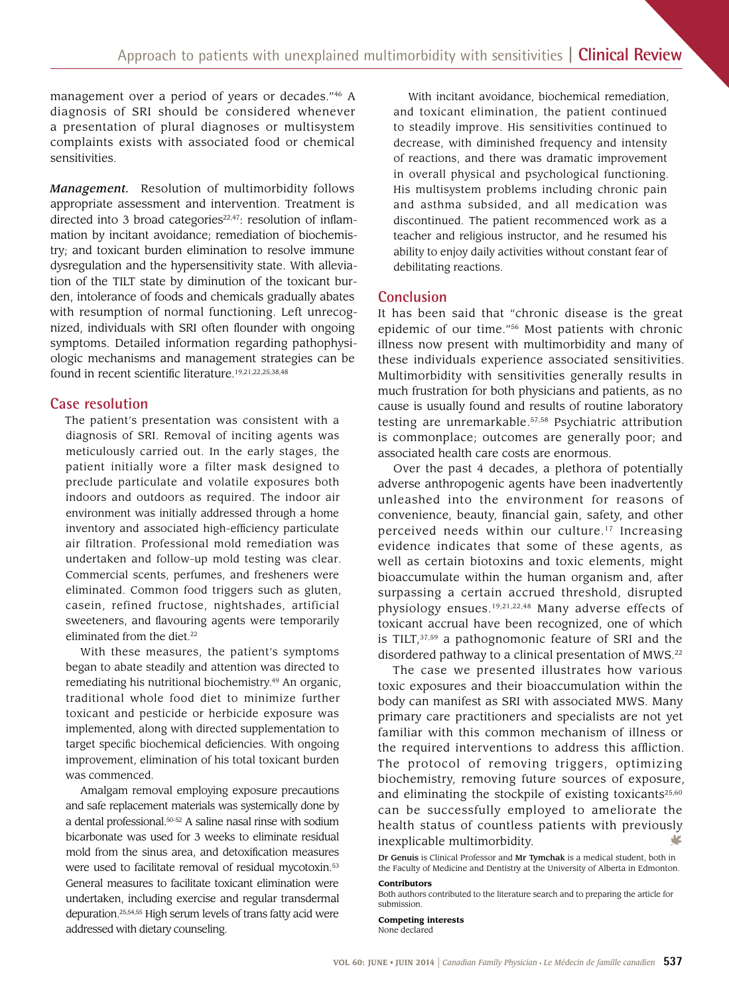management over a period of years or decades."46 A diagnosis of SRI should be considered whenever a presentation of plural diagnoses or multisystem complaints exists with associated food or chemical sensitivities.

 appropriate assessment and intervention. Treatment is *Management.* Resolution of multimorbidity follows directed into 3 broad categories<sup>22,47</sup>: resolution of inflammation by incitant avoidance; remediation of biochemistry; and toxicant burden elimination to resolve immune dysregulation and the hypersensitivity state. With alleviation of the TILT state by diminution of the toxicant burden, intolerance of foods and chemicals gradually abates with resumption of normal functioning. Left unrecognized, individuals with SRI often founder with ongoing symptoms. Detailed information regarding pathophysiologic mechanisms and management strategies can be found in recent scientific literature.<sup>19,21,22,25,38,48</sup>

#### **Case resolution**

 eliminated. Common food triggers such as gluten, The patient's presentation was consistent with a diagnosis of SRI. Removal of inciting agents was meticulously carried out. In the early stages, the patient initially wore a filter mask designed to preclude particulate and volatile exposures both indoors and outdoors as required. The indoor air environment was initially addressed through a home inventory and associated high-effciency particulate air filtration. Professional mold remediation was undertaken and follow-up mold testing was clear. Commercial scents, perfumes, and fresheners were casein, refined fructose, nightshades, artificial sweeteners, and favouring agents were temporarily eliminated from the diet.<sup>22</sup>

With these measures, the patient's symptoms began to abate steadily and attention was directed to remediating his nutritional [biochemistry.49](https://biochemistry.49) An organic, traditional whole food diet to minimize further toxicant and pesticide or herbicide exposure was implemented, along with directed supplementation to target specifc biochemical defciencies. With ongoing improvement, elimination of his total toxicant burden was commenced.

Amalgam removal employing exposure precautions and safe replacement materials was systemically done by a dental professional.50-52 A saline nasal rinse with sodium bicarbonate was used for 3 weeks to eliminate residual mold from the sinus area, and detoxifcation measures were used to facilitate removal of residual mycotoxin.<sup>53</sup> General measures to facilitate toxicant elimination were undertaken, including exercise and regular transdermal depuration.25,54,55 High serum levels of trans fatty acid were addressed with dietary counseling.

With incitant avoidance, biochemical remediation, and toxicant elimination, the patient continued to steadily improve. His sensitivities continued to decrease, with diminished frequency and intensity of reactions, and there was dramatic improvement in overall physical and psychological functioning. His multisystem problems including chronic pain and asthma subsided, and all medication was discontinued. The patient recommenced work as a teacher and religious instructor, and he resumed his ability to enjoy daily activities without constant fear of debilitating reactions.

#### **Conclusion**

It has been said that "chronic disease is the great epidemic of our time."56 Most patients with chronic illness now present with multimorbidity and many of these individuals experience associated sensitivities. Multimorbidity with sensitivities generally results in much frustration for both physicians and patients, as no cause is usually found and results of routine laboratory testing are unremarkable.57,58 Psychiatric attribution is commonplace; outcomes are generally poor; and associated health care costs are enormous.

Over the past 4 decades, a plethora of potentially adverse anthropogenic agents have been inadvertently unleashed into the environment for reasons of convenience, beauty, fnancial gain, safety, and other perceived needs within our culture.<sup>17</sup> Increasing evidence indicates that some of these agents, as well as certain biotoxins and toxic elements, might bioaccumulate within the human organism and, after surpassing a certain accrued threshold, disrupted physiology ensues.19,21,22,48 Many adverse effects of toxicant accrual have been recognized, one of which is TILT, $37,59$  a pathognomonic feature of SRI and the disordered pathway to a clinical presentation of MWS.<sup>22</sup>

The case we presented illustrates how various toxic exposures and their bioaccumulation within the body can manifest as SRI with associated MWS. Many primary care practitioners and specialists are not yet familiar with this common mechanism of illness or the required interventions to address this affiction. The protocol of removing triggers, optimizing biochemistry, removing future sources of exposure, and eliminating the stockpile of existing toxicants $25,60$ can be successfully employed to ameliorate the health status of countless patients with previously inexplicable multimorbidity.

#### **Contributors**

**Competing interests**  None declared

Dr Genuis is Clinical Professor and Mr Tymchak is a medical student, both in the Faculty of Medicine and Dentistry at the University of Alberta in Edmonton.

Both authors contributed to the literature search and to preparing the article for submission.